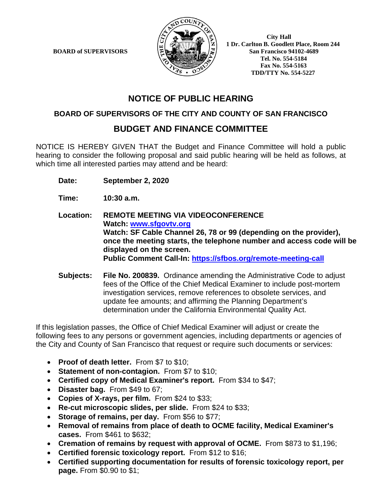**BOARD of SUPERVISORS** 



 **1 Dr. Carlton B. Goodlett Place, Room 244 Tel. No. 554-5184 Fax No. 554-5163 TDD/TTY No. 554-5227**

# **NOTICE OF PUBLIC HEARING**

#### **BOARD OF SUPERVISORS OF THE CITY AND COUNTY OF SAN FRANCISCO**

## **BUDGET AND FINANCE COMMITTEE**

NOTICE IS HEREBY GIVEN THAT the Budget and Finance Committee will hold a public hearing to consider the following proposal and said public hearing will be held as follows, at which time all interested parties may attend and be heard:

- **Date: September 2, 2020**
- **Time: 10:30 a.m.**

**Location: REMOTE MEETING VIA VIDEOCONFERENCE Watch: www.sfgovtv.org Watch: SF Cable Channel 26, 78 or 99 (depending on the provider), once the meeting starts, the telephone number and access code will be displayed on the screen. Public Comment Call-In: https://sfbos.org/remote-meeting-call**

**Subjects: File No. 200839.** Ordinance amending the Administrative Code to adjust fees of the Office of the Chief Medical Examiner to include post-mortem investigation services, remove references to obsolete services, and update fee amounts; and affirming the Planning Department's determination under the California Environmental Quality Act.

If this legislation passes, the Office of Chief Medical Examiner will adjust or create the following fees to any persons or government agencies, including departments or agencies of the City and County of San Francisco that request or require such documents or services:

- **Proof of death letter.** From \$7 to \$10;
- **Statement of non-contagion.** From \$7 to \$10;
- **Certified copy of Medical Examiner's report.** From \$34 to \$47;
- **Disaster bag.** From \$49 to 67;
- **Copies of X-rays, per film.** From \$24 to \$33;
- **Re-cut microscopic slides, per slide.** From \$24 to \$33;
- **Storage of remains, per day.** From \$56 to \$77;
- **Removal of remains from place of death to OCME facility, Medical Examiner's cases.** From \$461 to \$632;
- **Cremation of remains by request with approval of OCME.** From \$873 to \$1,196;
- **Certified forensic toxicology report.** From \$12 to \$16;
- **Certified supporting documentation for results of forensic toxicology report, per page.** From \$0.90 to \$1;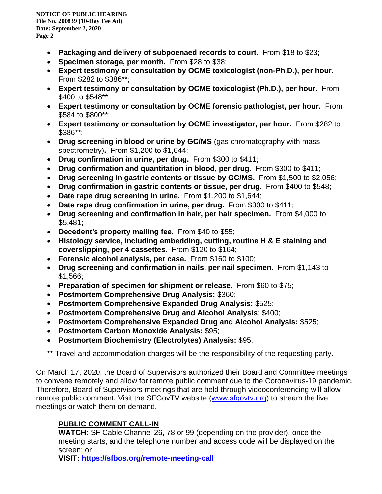- **Packaging and delivery of subpoenaed records to court.** From \$18 to \$23;
- **Specimen storage, per month.** From \$28 to \$38;
- **Expert testimony or consultation by OCME toxicologist (non-Ph.D.), per hour.** From \$282 to \$386\*\*;
- **Expert testimony or consultation by OCME toxicologist (Ph.D.), per hour.** From \$400 to \$548\*\*;
- **Expert testimony or consultation by OCME forensic pathologist, per hour.** From \$584 to \$800\*\*;
- **Expert testimony or consultation by OCME investigator, per hour.** From \$282 to \$386\*\*;
- **Drug screening in blood or urine by GC/MS** (gas chromatography with mass spectrometry)**.** From \$1,200 to \$1,644;
- **Drug confirmation in urine, per drug.** From \$300 to \$411;
- **Drug confirmation and quantitation in blood, per drug.** From \$300 to \$411;
- **Drug screening in gastric contents or tissue by GC/MS.** From \$1,500 to \$2,056;
- **Drug confirmation in gastric contents or tissue, per drug.** From \$400 to \$548;
- **Date rape drug screening in urine.** From \$1,200 to \$1,644;
- **Date rape drug confirmation in urine, per drug.** From \$300 to \$411;
- **Drug screening and confirmation in hair, per hair specimen.** From \$4,000 to \$5,481;
- **Decedent's property mailing fee.** From \$40 to \$55;
- **Histology service, including embedding, cutting, routine H & E staining and coverslipping, per 4 cassettes.** From \$120 to \$164;
- **Forensic alcohol analysis, per case.** From \$160 to \$100;
- **Drug screening and confirmation in nails, per nail specimen.** From \$1,143 to \$1,566;
- **Preparation of specimen for shipment or release.** From \$60 to \$75;
- **Postmortem Comprehensive Drug Analysis:** \$360;
- **Postmortem Comprehensive Expanded Drug Analysis:** \$525;
- **Postmortem Comprehensive Drug and Alcohol Analysis**: \$400;
- **Postmortem Comprehensive Expanded Drug and Alcohol Analysis:** \$525;
- **Postmortem Carbon Monoxide Analysis:** \$95;
- **Postmortem Biochemistry (Electrolytes) Analysis:** \$95.

\*\* Travel and accommodation charges will be the responsibility of the requesting party.

On March 17, 2020, the Board of Supervisors authorized their Board and Committee meetings to convene remotely and allow for remote public comment due to the Coronavirus-19 pandemic. Therefore, Board of Supervisors meetings that are held through videoconferencing will allow remote public comment. Visit the SFGovTV website (www.sfgovtv.org) to stream the live meetings or watch them on demand.

### **PUBLIC COMMENT CALL-IN**

**WATCH:** SF Cable Channel 26, 78 or 99 (depending on the provider), once the meeting starts, and the telephone number and access code will be displayed on the screen; or

**VISIT: https://sfbos.org/remote-meeting-call**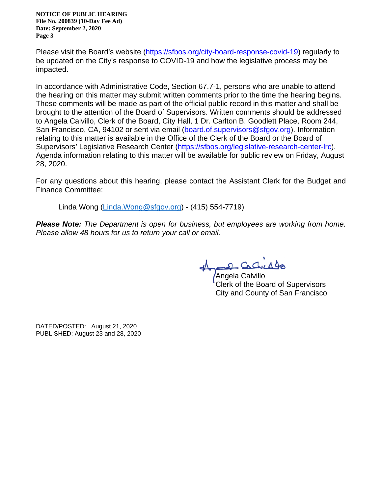**NOTICE OF PUBLIC HEARING File No. 200839 (10-Day Fee Ad) Date: September 2, 2020 Page 3**

Please visit the Board's website (https://sfbos.org/city-board-response-covid-19) regularly to be updated on the City's response to COVID-19 and how the legislative process may be impacted.

In accordance with Administrative Code, Section 67.7-1, persons who are unable to attend the hearing on this matter may submit written comments prior to the time the hearing begins. These comments will be made as part of the official public record in this matter and shall be brought to the attention of the Board of Supervisors. Written comments should be addressed to Angela Calvillo, Clerk of the Board, City Hall, 1 Dr. Carlton B. Goodlett Place, Room 244, San Francisco, CA, 94102 or sent via email (board.of.supervisors@sfgov.org). Information relating to this matter is available in the Office of the Clerk of the Board or the Board of Supervisors' Legislative Research Center (https://sfbos.org/legislative-research-center-lrc). Agenda information relating to this matter will be available for public review on Friday, August 28, 2020.

For any questions about this hearing, please contact the Assistant Clerk for the Budget and Finance Committee:

Linda Wong (Linda.Wong@sfgov.org) - (415) 554-7719)

*Please Note: The Department is open for business, but employees are working from home. Please allow 48 hours for us to return your call or email.*

Angela Calvillo Clerk of the Board of Supervisors City and County of San Francisco

DATED/POSTED: August 21, 2020 PUBLISHED: August 23 and 28, 2020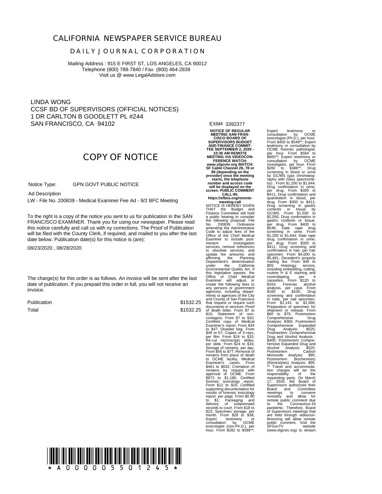#### **CALIFORNIA NEWSPAPER SERVICE BUREAU**

#### **D A I L Y J O U R N A L C O R P O R A T I O N**

Mailing Address : 915 E FIRST ST, LOS ANGELES, CA 90012 Telephone (800) 788-7840 / Fax (800) 464-2839 Visit us @ www.LegalAdstore.com

LINDA WONG CCSF BD OF SUPERVISORS (OFFICIAL NOTICES) 1 DR CARLTON B GOODLETT PL #244 SAN FRANCISCO, CA 94102

### **COPY OF NOTICE**

 GPN GOVT PUBLIC NOTICE Notice Type:

Ad Description

LW - File No. 200839 - Medical Examiner Fee Ad - 9/2 BFC Meeting

FRANCISCO EXAMINER. Thank you for using our newspaper. Please read<br>this notice carefully and call us with ny corrections. The Proof of Publication To the right is a copy of the notice you sent to us for publication in the SAN FRANCISCO EXAMINER. Thank you for using our newspaper. Please read will be filed with the County Clerk, if required, and mailed to you after the last date below. Publication date(s) for this notice is (are):

08/23/2020 , 08/28/2020

The charge(s) for this order is as follows. An invoice will be sent after the last date of publication. If you prepaid this order in full, you will not receive an invoice.

Publication Total

\$1532.25

EXM# 3392377

\$1532.25 of death letter. From \$7 to **NOTICE OF REGULAR MEETING SAN FRAN-CISCO BOARD OF SUPERVISORS BUDGET AND FINANCE COMMIT-TEE SEPTEMBER 2, 2020 - 10:30 AM REMOTE MEETING VIA VIDEOCON-FERENCE WATCH: www.sfgovtv.org WATCH: SF Cable Channel 26, 78 or 99 (depending on the provider) once the meeting starts, the telephone number and access code will be displayed on the screen. PUBLIC COMMENT CALL-IN: https://sfbos.org/remotemeeting-call**<br>
NOTICE IS HEREBY GIVEN<br>
THAT the Budget and<br>
Finance Committee will hold a public hearing to consider the following proposal: File No. 200839. Ordinance amending the Administrative Code to adjust fees of the Office of the Chief Medical Examiner to include postmortem investigation services, remove references to obsolete services, and update fee amounts; and affirming the Planning Department's determination under the California Environmental Quality Act. If this legislation passes, the Office of Chief Medical nenias or agentes or are city<br>and County of San Francisco<br>that request or require such<br>documents or services: Proof<br>of death letter. From \$7 to<br>social documents or services: Proof<br>contagion. From \$7 to \$10;<br>Certified copy \$461 to \$632; Cremation of<br>remains by request with<br>approval of OCME. From<br>\$873 to \$1,196; Certified forem \$12 to \$16; Certified<br>supporting documentation for<br>results of forensic toxicology<br>report, per page. From \$0.90<br>to \$1; Packaging and<br>delivery of subpoenaed<br>records to court. From \$18 to<br>records to court. From \$18 \$23; Specimen storage, per month. From \$28 to \$38; Expert testimony or<br>consultation by OCME<br>toxicologist (non-Ph.D.), per<br>hour. From \$282 to \$386\*\*;

Expert testimony or<br>consultation by OCME<br>coxicologist (Ph.D.), per hour.<br>Trom \$400 to \$548<sup>++</sup>; Expert testimony or consultation by<br>OCME forensic pathologist,<br>SES of the forensic pathologist,<br>SS80<sup>++</sup>; Expert testimony or<br> per drug. From \$300 to \$411; Drug confirmation and quantitation in blood, per drug. From \$300 to \$411; Drug screening in gastric contents or tissue by GC/MS. From \$1,500 to \$2,056; Drug confirmation in<br>gastric contents or tissue,<br>per drug. From \$400 to<br>screening in unine. From \$400 to<br>screening in unine. From \$300 to<br>screening in unine. From \$300 to<br>screening in unine. Then \$1,000 to<br>diffuse requesting party. On March 17, 2020, the Board of Supervisors authorized their Board and Committee meetings to convene remotely and allow for remote public comment due<br>to the Coronavirus-19<br>pandemic. Therefore, Board<br>of Supervisors meetings that<br>are held through videoconferencing will allow remote public comment. Visit the SFGovTV website SFGovTV visit the<br>SFGovTV website<br>(www.sfgovtv.org) to stream